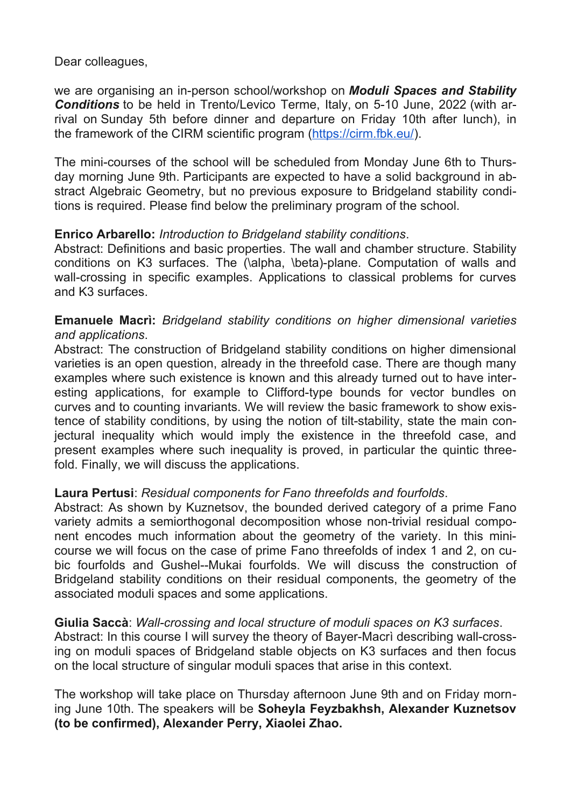Dear colleagues,

we are organising an in-person school/workshop on *Moduli Spaces and Stability Conditions* to be held in Trento/Levico Terme, Italy, on 5-10 June, 2022 (with arrival on Sunday 5th before dinner and departure on Friday 10th after lunch), in the framework of the CIRM scientific program [\(https://cirm.fbk.eu/\)](https://cirm.fbk.eu/).

The mini-courses of the school will be scheduled from Monday June 6th to Thursday morning June 9th. Participants are expected to have a solid background in abstract Algebraic Geometry, but no previous exposure to Bridgeland stability conditions is required. Please find below the preliminary program of the school.

## **Enrico Arbarello:** *Introduction to Bridgeland stability conditions*.

Abstract: Definitions and basic properties. The wall and chamber structure. Stability conditions on K3 surfaces. The (\alpha, \beta)-plane. Computation of walls and wall-crossing in specific examples. Applications to classical problems for curves and K3 surfaces.

## **Emanuele Macrì:** *Bridgeland stability conditions on higher dimensional varieties and applications*.

Abstract: The construction of Bridgeland stability conditions on higher dimensional varieties is an open question, already in the threefold case. There are though many examples where such existence is known and this already turned out to have interesting applications, for example to Clifford-type bounds for vector bundles on curves and to counting invariants. We will review the basic framework to show existence of stability conditions, by using the notion of tilt-stability, state the main conjectural inequality which would imply the existence in the threefold case, and present examples where such inequality is proved, in particular the quintic threefold. Finally, we will discuss the applications.

## **Laura Pertusi**: *Residual components for Fano threefolds and fourfolds*.

Abstract: As shown by Kuznetsov, the bounded derived category of a prime Fano variety admits a semiorthogonal decomposition whose non-trivial residual component encodes much information about the geometry of the variety. In this minicourse we will focus on the case of prime Fano threefolds of index 1 and 2, on cubic fourfolds and Gushel--Mukai fourfolds. We will discuss the construction of Bridgeland stability conditions on their residual components, the geometry of the associated moduli spaces and some applications.

## **Giulia Saccà**: *Wall-crossing and local structure of moduli spaces on K3 surfaces*.

Abstract: In this course I will survey the theory of Bayer-Macrì describing wall-crossing on moduli spaces of Bridgeland stable objects on K3 surfaces and then focus on the local structure of singular moduli spaces that arise in this context.

The workshop will take place on Thursday afternoon June 9th and on Friday morning June 10th. The speakers will be **Soheyla Feyzbakhsh, Alexander Kuznetsov (to be confirmed), Alexander Perry, Xiaolei Zhao.**